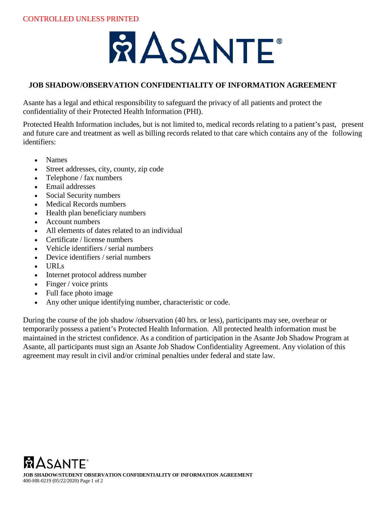# **Å ASANTE**

### **JOB SHADOW/OBSERVATION CONFIDENTIALITY OF INFORMATION AGREEMENT**

Asante has a legal and ethical responsibility to safeguard the privacy of all patients and protect the confidentiality of their Protected Health Information (PHI).

Protected Health Information includes, but is not limited to, medical records relating to a patient's past, present and future care and treatment as well as billing records related to that care which contains any of the following identifiers:

- Names
- Street addresses, city, county, zip code
- Telephone / fax numbers
- Email addresses
- Social Security numbers
- Medical Records numbers
- Health plan beneficiary numbers
- Account numbers
- All elements of dates related to an individual
- Certificate / license numbers
- Vehicle identifiers / serial numbers
- Device identifiers / serial numbers
- URLs
- Internet protocol address number
- Finger / voice prints
- Full face photo image
- Any other unique identifying number, characteristic or code.

During the course of the job shadow /observation (40 hrs. or less), participants may see, overhear or temporarily possess a patient's Protected Health Information. All protected health information must be maintained in the strictest confidence. As a condition of participation in the Asante Job Shadow Program at Asante, all participants must sign an Asante Job Shadow Confidentiality Agreement. Any violation of this agreement may result in civil and/or criminal penalties under federal and state law.